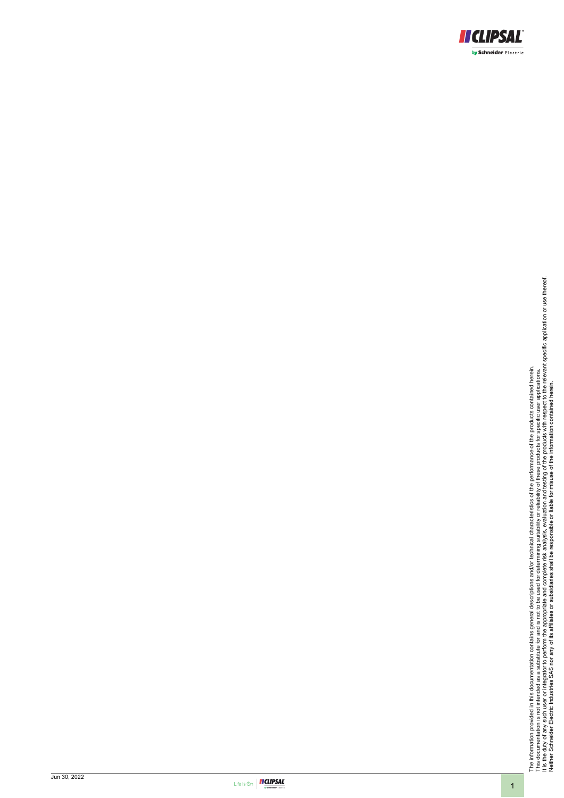<span id="page-0-0"></span>

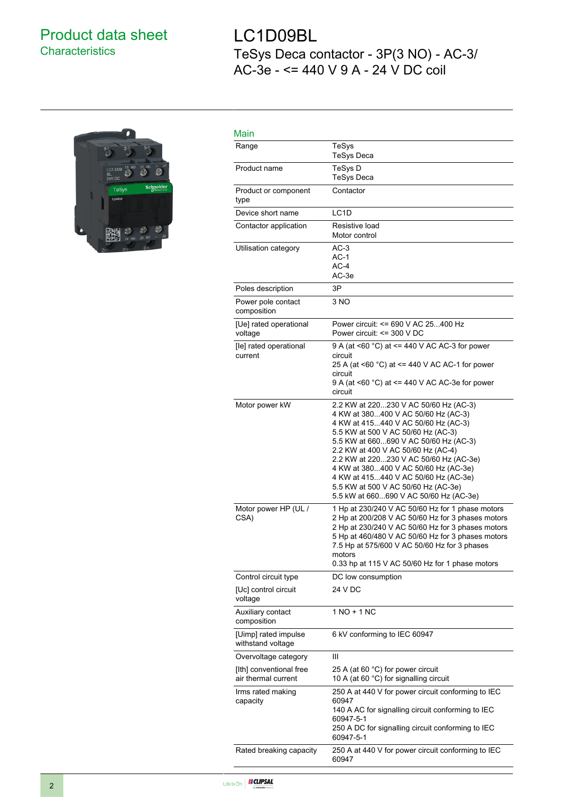## Product data sheet **Characteristics**

# 28

# LC1D09BL TeSys Deca contactor - 3P(3 NO) - AC-3/ AC-3e - <= 440 V 9 A - 24 V DC coil

| Main                                           |                                                                                                                                                                                                                                                                                                                                                                                                                                                     |
|------------------------------------------------|-----------------------------------------------------------------------------------------------------------------------------------------------------------------------------------------------------------------------------------------------------------------------------------------------------------------------------------------------------------------------------------------------------------------------------------------------------|
| Range                                          | TeSys<br><b>TeSys Deca</b>                                                                                                                                                                                                                                                                                                                                                                                                                          |
| Product name                                   | TeSys D<br><b>TeSys Deca</b>                                                                                                                                                                                                                                                                                                                                                                                                                        |
| Product or component<br>type                   | Contactor                                                                                                                                                                                                                                                                                                                                                                                                                                           |
| Device short name                              | LC1D                                                                                                                                                                                                                                                                                                                                                                                                                                                |
| Contactor application                          | Resistive load<br>Motor control                                                                                                                                                                                                                                                                                                                                                                                                                     |
| Utilisation category                           | AC-3<br>AC-1<br>$AC-4$<br>AC-3e                                                                                                                                                                                                                                                                                                                                                                                                                     |
| Poles description                              | 3P                                                                                                                                                                                                                                                                                                                                                                                                                                                  |
| Power pole contact<br>composition              | 3 NO                                                                                                                                                                                                                                                                                                                                                                                                                                                |
| [Ue] rated operational<br>voltage              | Power circuit: <= 690 V AC 25400 Hz<br>Power circuit: <= 300 V DC                                                                                                                                                                                                                                                                                                                                                                                   |
| [le] rated operational<br>current              | 9 A (at <60 $^{\circ}$ C) at <= 440 V AC AC-3 for power<br>circuit<br>25 A (at <60 °C) at <= 440 V AC AC-1 for power<br>circuit<br>9 A (at <60 °C) at <= 440 V AC AC-3e for power<br>circuit                                                                                                                                                                                                                                                        |
| Motor power kW                                 | 2.2 KW at 220230 V AC 50/60 Hz (AC-3)<br>4 KW at 380400 V AC 50/60 Hz (AC-3)<br>4 KW at 415440 V AC 50/60 Hz (AC-3)<br>5.5 KW at 500 V AC 50/60 Hz (AC-3)<br>5.5 KW at 660690 V AC 50/60 Hz (AC-3)<br>2.2 KW at 400 V AC 50/60 Hz (AC-4)<br>2.2 KW at 220230 V AC 50/60 Hz (AC-3e)<br>4 KW at 380400 V AC 50/60 Hz (AC-3e)<br>4 KW at 415440 V AC 50/60 Hz (AC-3e)<br>5.5 KW at 500 V AC 50/60 Hz (AC-3e)<br>5.5 kW at 660690 V AC 50/60 Hz (AC-3e) |
| Motor power HP (UL /<br>CSA)                   | 1 Hp at 230/240 V AC 50/60 Hz for 1 phase motors<br>2 Hp at 200/208 V AC 50/60 Hz for 3 phases motors<br>2 Hp at 230/240 V AC 50/60 Hz for 3 phases motors<br>5 Hp at 460/480 V AC 50/60 Hz for 3 phases motors<br>7.5 Hp at 575/600 V AC 50/60 Hz for 3 phases<br>motors<br>0.33 hp at 115 V AC 50/60 Hz for 1 phase motors                                                                                                                        |
| Control circuit type                           | DC low consumption                                                                                                                                                                                                                                                                                                                                                                                                                                  |
| [Uc] control circuit<br>voltage                | 24 V DC                                                                                                                                                                                                                                                                                                                                                                                                                                             |
| Auxiliary contact<br>composition               | $1 NQ + 1 NC$                                                                                                                                                                                                                                                                                                                                                                                                                                       |
| [Uimp] rated impulse<br>withstand voltage      | 6 kV conforming to IEC 60947                                                                                                                                                                                                                                                                                                                                                                                                                        |
| Overvoltage category                           | Ш                                                                                                                                                                                                                                                                                                                                                                                                                                                   |
| [Ith] conventional free<br>air thermal current | 25 A (at 60 °C) for power circuit<br>10 A (at 60 °C) for signalling circuit                                                                                                                                                                                                                                                                                                                                                                         |
| Irms rated making<br>capacity                  | 250 A at 440 V for power circuit conforming to IEC<br>60947<br>140 A AC for signalling circuit conforming to IEC<br>60947-5-1<br>250 A DC for signalling circuit conforming to IEC<br>60947-5-1                                                                                                                                                                                                                                                     |
| Rated breaking capacity                        | 250 A at 440 V for power circuit conforming to IEC<br>60947                                                                                                                                                                                                                                                                                                                                                                                         |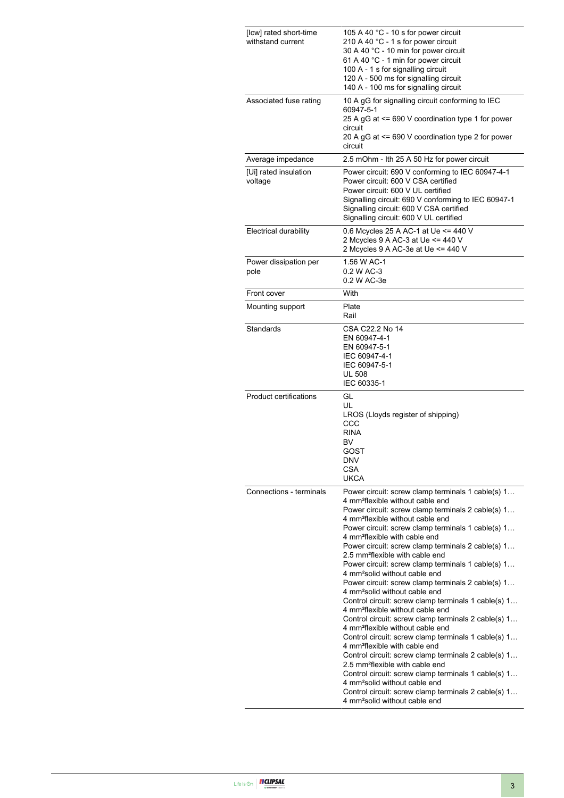| [Icw] rated short-time<br>withstand current | 105 A 40 °C - 10 s for power circuit<br>210 A 40 °C - 1 s for power circuit<br>30 A 40 °C - 10 min for power circuit<br>61 A 40 °C - 1 min for power circuit<br>100 A - 1 s for signalling circuit<br>120 A - 500 ms for signalling circuit<br>140 A - 100 ms for signalling circuit                                                                                                                                                                                                                                                                                                                                                                                                                                                                                                                                                                                                                                                                                                                                                                                                                                                                                                                                                             |  |  |
|---------------------------------------------|--------------------------------------------------------------------------------------------------------------------------------------------------------------------------------------------------------------------------------------------------------------------------------------------------------------------------------------------------------------------------------------------------------------------------------------------------------------------------------------------------------------------------------------------------------------------------------------------------------------------------------------------------------------------------------------------------------------------------------------------------------------------------------------------------------------------------------------------------------------------------------------------------------------------------------------------------------------------------------------------------------------------------------------------------------------------------------------------------------------------------------------------------------------------------------------------------------------------------------------------------|--|--|
| Associated fuse rating                      | 10 A gG for signalling circuit conforming to IEC<br>60947-5-1<br>25 A gG at <= 690 V coordination type 1 for power<br>circuit<br>20 A gG at <= 690 V coordination type 2 for power<br>circuit                                                                                                                                                                                                                                                                                                                                                                                                                                                                                                                                                                                                                                                                                                                                                                                                                                                                                                                                                                                                                                                    |  |  |
| Average impedance                           | 2.5 mOhm - Ith 25 A 50 Hz for power circuit                                                                                                                                                                                                                                                                                                                                                                                                                                                                                                                                                                                                                                                                                                                                                                                                                                                                                                                                                                                                                                                                                                                                                                                                      |  |  |
| [Ui] rated insulation<br>voltage            | Power circuit: 690 V conforming to IEC 60947-4-1<br>Power circuit: 600 V CSA certified<br>Power circuit: 600 V UL certified<br>Signalling circuit: 690 V conforming to IEC 60947-1<br>Signalling circuit: 600 V CSA certified<br>Signalling circuit: 600 V UL certified                                                                                                                                                                                                                                                                                                                                                                                                                                                                                                                                                                                                                                                                                                                                                                                                                                                                                                                                                                          |  |  |
| <b>Electrical durability</b>                | 0.6 Mcycles 25 A AC-1 at Ue <= 440 V<br>2 Mcycles 9 A AC-3 at Ue <= 440 V<br>2 Mcycles 9 A AC-3e at Ue <= 440 V                                                                                                                                                                                                                                                                                                                                                                                                                                                                                                                                                                                                                                                                                                                                                                                                                                                                                                                                                                                                                                                                                                                                  |  |  |
| Power dissipation per<br>pole               | 1.56 W AC-1<br>0.2 W AC-3<br>0.2 W AC-3e                                                                                                                                                                                                                                                                                                                                                                                                                                                                                                                                                                                                                                                                                                                                                                                                                                                                                                                                                                                                                                                                                                                                                                                                         |  |  |
| Front cover                                 | With                                                                                                                                                                                                                                                                                                                                                                                                                                                                                                                                                                                                                                                                                                                                                                                                                                                                                                                                                                                                                                                                                                                                                                                                                                             |  |  |
| Mounting support                            | Plate<br>Rail                                                                                                                                                                                                                                                                                                                                                                                                                                                                                                                                                                                                                                                                                                                                                                                                                                                                                                                                                                                                                                                                                                                                                                                                                                    |  |  |
| Standards                                   | CSA C22.2 No 14<br>EN 60947-4-1<br>EN 60947-5-1<br>IEC 60947-4-1<br>IEC 60947-5-1<br><b>UL 508</b><br>IEC 60335-1                                                                                                                                                                                                                                                                                                                                                                                                                                                                                                                                                                                                                                                                                                                                                                                                                                                                                                                                                                                                                                                                                                                                |  |  |
| <b>Product certifications</b>               | GL<br>UL<br>LROS (Lloyds register of shipping)<br>CCC<br><b>RINA</b><br>BV<br>GOST<br>DNV<br><b>CSA</b><br><b>UKCA</b>                                                                                                                                                                                                                                                                                                                                                                                                                                                                                                                                                                                                                                                                                                                                                                                                                                                                                                                                                                                                                                                                                                                           |  |  |
| Connections - terminals                     | Power circuit: screw clamp terminals 1 cable(s) 1<br>4 mm <sup>2</sup> flexible without cable end<br>Power circuit: screw clamp terminals 2 cable(s) 1<br>4 mm <sup>2</sup> flexible without cable end<br>Power circuit: screw clamp terminals 1 cable(s) 1<br>4 mm <sup>2</sup> flexible with cable end<br>Power circuit: screw clamp terminals 2 cable(s) 1<br>2.5 mm <sup>2</sup> flexible with cable end<br>Power circuit: screw clamp terminals 1 cable(s) 1<br>4 mm <sup>2</sup> solid without cable end<br>Power circuit: screw clamp terminals 2 cable(s) 1<br>4 mm <sup>2</sup> solid without cable end<br>Control circuit: screw clamp terminals 1 cable(s) 1<br>4 mm <sup>2</sup> flexible without cable end<br>Control circuit: screw clamp terminals 2 cable(s) 1<br>4 mm <sup>2</sup> flexible without cable end<br>Control circuit: screw clamp terminals 1 cable(s) 1<br>4 mm <sup>2</sup> flexible with cable end<br>Control circuit: screw clamp terminals 2 cable(s) 1<br>2.5 mm <sup>2</sup> flexible with cable end<br>Control circuit: screw clamp terminals 1 cable(s) 1<br>4 mm <sup>2</sup> solid without cable end<br>Control circuit: screw clamp terminals 2 cable(s) 1<br>4 mm <sup>2</sup> solid without cable end |  |  |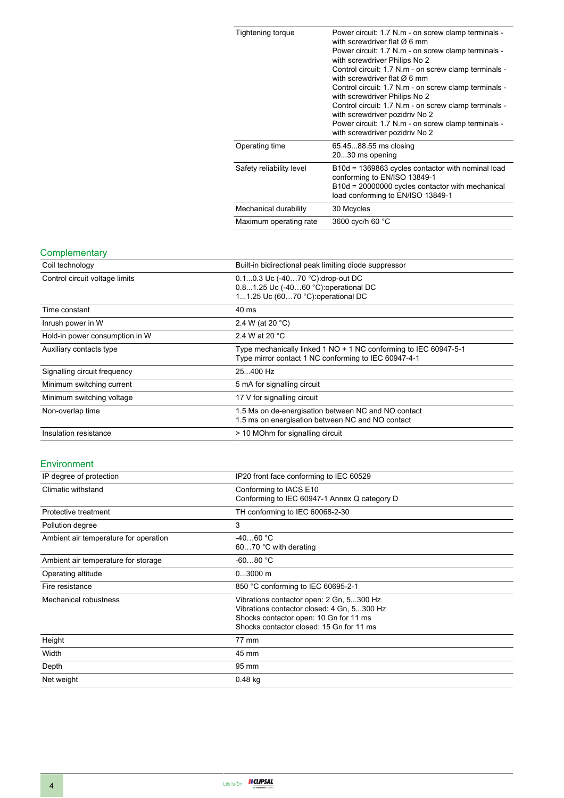| Tightening torque        | Power circuit: 1.7 N.m - on screw clamp terminals -<br>with screwdriver flat $\varnothing$ 6 mm<br>Power circuit: 1.7 N.m - on screw clamp terminals -<br>with screwdriver Philips No 2<br>Control circuit: 1.7 N.m - on screw clamp terminals -<br>with screwdriver flat $\varnothing$ 6 mm<br>Control circuit: 1.7 N.m - on screw clamp terminals -<br>with screwdriver Philips No 2<br>Control circuit: 1.7 N.m - on screw clamp terminals -<br>with screwdriver pozidriv No 2<br>Power circuit: 1.7 N.m - on screw clamp terminals -<br>with screwdriver pozidriv No 2 |
|--------------------------|----------------------------------------------------------------------------------------------------------------------------------------------------------------------------------------------------------------------------------------------------------------------------------------------------------------------------------------------------------------------------------------------------------------------------------------------------------------------------------------------------------------------------------------------------------------------------|
| Operating time           | 65.4588.55 ms closing<br>2030 ms opening                                                                                                                                                                                                                                                                                                                                                                                                                                                                                                                                   |
| Safety reliability level | B10d = 1369863 cycles contactor with nominal load<br>conforming to EN/ISO 13849-1<br>B10d = 20000000 cycles contactor with mechanical<br>load conforming to EN/ISO 13849-1                                                                                                                                                                                                                                                                                                                                                                                                 |
| Mechanical durability    | 30 Mcycles                                                                                                                                                                                                                                                                                                                                                                                                                                                                                                                                                                 |
| Maximum operating rate   | 3600 cyc/h 60 °C                                                                                                                                                                                                                                                                                                                                                                                                                                                                                                                                                           |

### **Complementary**

| Coil technology                | Built-in bidirectional peak limiting diode suppressor                                                                    |  |  |
|--------------------------------|--------------------------------------------------------------------------------------------------------------------------|--|--|
| Control circuit voltage limits | 0.10.3 Uc (-4070 °C).drop-out DC<br>0.81.25 Uc (-4060 °C): operational DC<br>11.25 Uc (6070 °C): operational DC          |  |  |
| Time constant                  | 40 ms                                                                                                                    |  |  |
| Inrush power in W              | 2.4 W (at 20 °C)                                                                                                         |  |  |
| Hold-in power consumption in W | 2.4 W at 20 $^{\circ}$ C                                                                                                 |  |  |
| Auxiliary contacts type        | Type mechanically linked 1 NO + 1 NC conforming to IEC 60947-5-1<br>Type mirror contact 1 NC conforming to IEC 60947-4-1 |  |  |
| Signalling circuit frequency   | 25400 Hz                                                                                                                 |  |  |
| Minimum switching current      | 5 mA for signalling circuit                                                                                              |  |  |
| Minimum switching voltage      | 17 V for signalling circuit                                                                                              |  |  |
| Non-overlap time               | 1.5 Ms on de-energisation between NC and NO contact<br>1.5 ms on energisation between NC and NO contact                  |  |  |
| Insulation resistance          | > 10 MOhm for signalling circuit                                                                                         |  |  |

### Environment

| IP degree of protection               | IP20 front face conforming to IEC 60529                                                                                                                                      |  |
|---------------------------------------|------------------------------------------------------------------------------------------------------------------------------------------------------------------------------|--|
| Climatic withstand                    | Conforming to IACS E10<br>Conforming to IEC 60947-1 Annex Q category D                                                                                                       |  |
| Protective treatment                  | TH conforming to IEC 60068-2-30                                                                                                                                              |  |
| Pollution degree                      | 3                                                                                                                                                                            |  |
| Ambient air temperature for operation | $-4060 °C$<br>6070 °C with derating                                                                                                                                          |  |
| Ambient air temperature for storage   | $-6080 °C$                                                                                                                                                                   |  |
| Operating altitude                    | $03000$ m                                                                                                                                                                    |  |
| Fire resistance                       | 850 °C conforming to IEC 60695-2-1                                                                                                                                           |  |
| Mechanical robustness                 | Vibrations contactor open: 2 Gn, 5300 Hz<br>Vibrations contactor closed: 4 Gn, 5300 Hz<br>Shocks contactor open: 10 Gn for 11 ms<br>Shocks contactor closed: 15 Gn for 11 ms |  |
| Height                                | 77 mm                                                                                                                                                                        |  |
| Width                                 | 45 mm                                                                                                                                                                        |  |
| Depth                                 | 95 mm                                                                                                                                                                        |  |
| Net weight                            | $0.48$ kg                                                                                                                                                                    |  |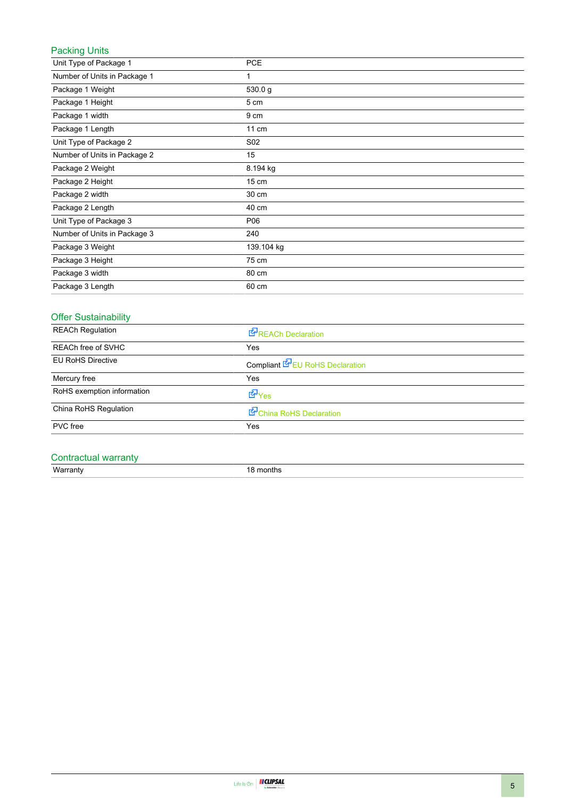### Packing Units

| Unit Type of Package 1       | <b>PCE</b>      |
|------------------------------|-----------------|
| Number of Units in Package 1 | 1               |
| Package 1 Weight             | 530.0 g         |
| Package 1 Height             | 5 cm            |
| Package 1 width              | 9 cm            |
| Package 1 Length             | 11 cm           |
| Unit Type of Package 2       | S02             |
| Number of Units in Package 2 | 15              |
| Package 2 Weight             | 8.194 kg        |
| Package 2 Height             | $15 \text{ cm}$ |
| Package 2 width              | 30 cm           |
| Package 2 Length             | 40 cm           |
| Unit Type of Package 3       | P06             |
| Number of Units in Package 3 | 240             |
| Package 3 Weight             | 139.104 kg      |
| Package 3 Height             | 75 cm           |
| Package 3 width              | 80 cm           |
| Package 3 Length             | 60 cm           |

### Offer Sustainability

| REACh Declaration                      |  |
|----------------------------------------|--|
| Yes                                    |  |
| Compliant <b>E</b> EU RoHS Declaration |  |
| Yes                                    |  |
| d Yes                                  |  |
| China RoHS Declaration                 |  |
| Yes                                    |  |
|                                        |  |

### Contractual warranty

Warranty 18 months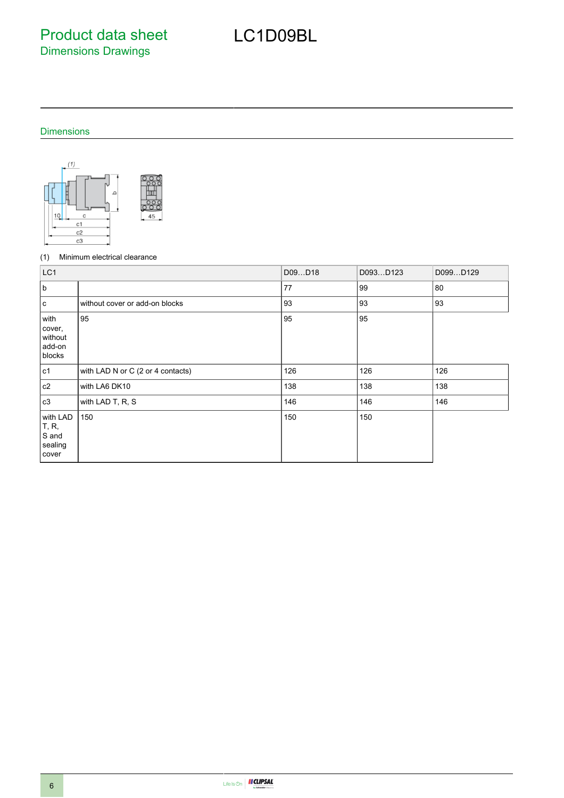Product data sheet Dimensions Drawings

# LC1D09BL

### Dimensions





### (1) Minimum electrical clearance

| LC1                                              |                                   | D09D18 | D093D123 | D099D129 |
|--------------------------------------------------|-----------------------------------|--------|----------|----------|
| b                                                |                                   | 77     | 99       | 80       |
| l c                                              | without cover or add-on blocks    | 93     | 93       | 93       |
| with<br>cover,<br>without<br>add-on<br>blocks    | 95                                | 95     | 95       |          |
| c1                                               | with LAD N or C (2 or 4 contacts) | 126    | 126      | 126      |
| c2                                               | with LA6 DK10                     | 138    | 138      | 138      |
| c3                                               | with LAD T, R, S                  | 146    | 146      | 146      |
| with LAD<br>T, R,<br>S and<br>sealing<br>  cover | 150                               | 150    | 150      |          |